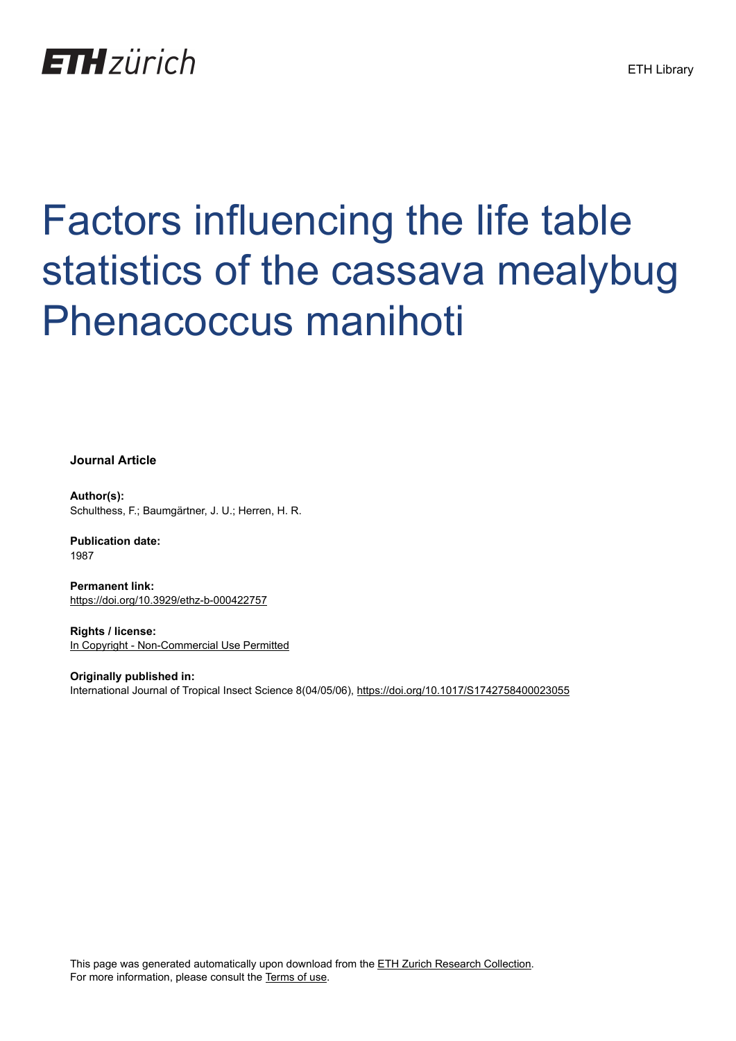## **ETH**zürich

# Factors influencing the life table statistics of the cassava mealybug Phenacoccus manihoti

**Journal Article**

**Author(s):** Schulthess, F.; Baumgärtner, J. U.; Herren, H. R.

**Publication date:** 1987

**Permanent link:** <https://doi.org/10.3929/ethz-b-000422757>

**Rights / license:** [In Copyright - Non-Commercial Use Permitted](http://rightsstatements.org/page/InC-NC/1.0/)

**Originally published in:** International Journal of Tropical Insect Science 8(04/05/06), <https://doi.org/10.1017/S1742758400023055>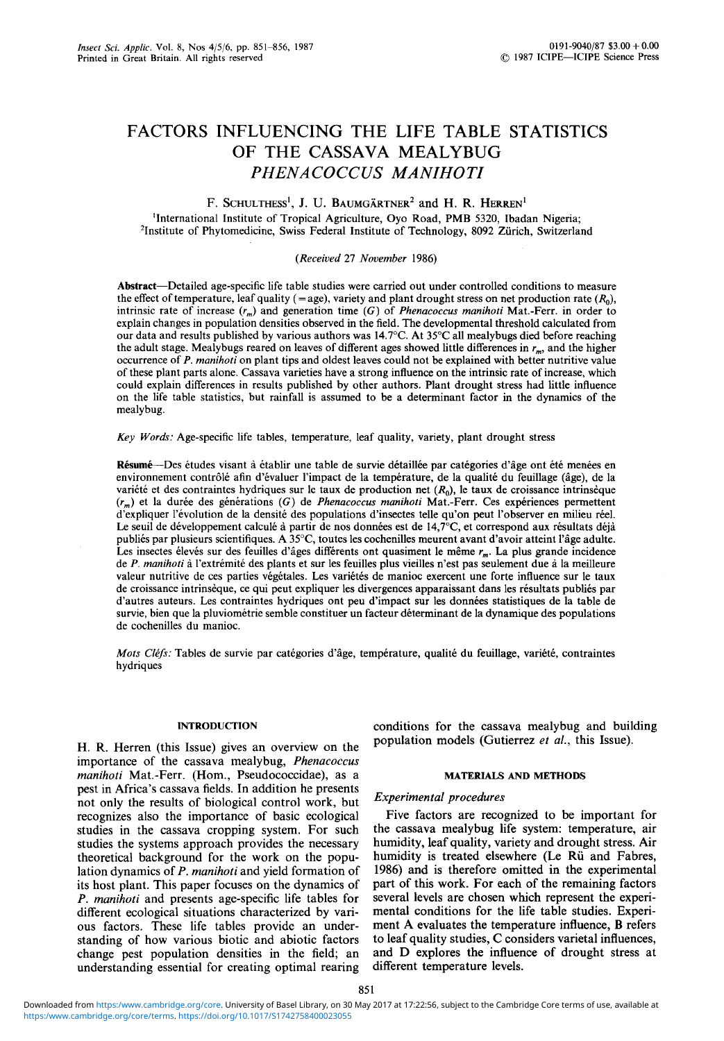## FACTORS INFLUENCING THE LIFE TABLE STATISTICS OF THE CASSAVA MEALYBUG *PHENACOCCUS MANIHOTI*

#### F. Schulthess<sup>i</sup>, J. U. Baumgärtner<sup>2</sup> and H. R. Herren<sup>i</sup>

'International Institute of Tropical Agriculture, Oyo Road, PMB 5320, Ibadan Nigeria; 'Institute of Phytomedicine, Swiss Federal Institute of Technology, 8092 Zurich, Switzerland

#### *(Received* 27 *November* 1986)

Abstract—Detailed age-specific life table studies were carried out under controlled conditions to measure the effect of temperature, leaf quality (= age), variety and plant drought stress on net production rate  $(R_0)$ , intrinsic rate of increase  $(r_m)$  and generation time (G) of *Phenacoccus manihoti* Mat.-Ferr. in order to explain changes in population densities observed in the field. The developmental threshold calculated from our data the adult stage. Mealybugs reared on leaves of different ages showed little differences in  $r_m$ , and the higher occurrence of P. manihoti on plant tips and oldest leaves could not be explained with better nutritive value could explain differences in results published by other authors. Plant drought stress had little influence on the life table statistics, but rainfall is assumed to be a determinant factor in the dynamics of the mealybug.

*Key Words:* Age-specific life tables, temperature, leaf quality, variety, plant drought stress

Résumé—Des études visant à établir une table de survie détaillée par catégories d'âge ont été menées en<br>environnement contrôlé afin d'évaluer l'impact de la température, de la qualité du feuillage (âge), de la<br>variété et  $(r_m)$  et la durée des générations (G) de *Phenacoccus manihoti* Mat.-Ferr. Ces expériences permettent d'expliquer l'évolution de la densité des populations d'insectes telle qu'on peut l'observer en milieu réel. Le seuil de développement calculé à partir de nos données est de 14,7°C, et correspond aux résultats déjà<br>publiés par plusieurs scientifiques. A 35°C, toutes les cochenilles meurent avant d'avoir atteint l'âge adulte.<br>Les

*Mots Cléfs:* Tables de survie par catégories d'âge, température, qualité du feuillage, variété, contraintes hydriques

importance of the cassava mealybug, Phenacoccus manihoti Mat.-Ferr. (Hom., Pseudococcidae), as a *manihoti* Mat.-Ferr. (Hom., Pseudococcidae), as a **MATERIALS AND METHODS** pest in Africa's cassava fields. In addition he presents not only the results of biological control work, but recognizes also the importance of basic ecological Five factors are recognized to be important for studies in the cassava cropping system. For such the cassava mealybug life system: temperature, air studies the systems approach provides the necessary humidity, leaf quality, variety and drought stress. Air theoretical background for the work on the popu- humidity is treated elsewhere (Le Rü and Fabres, lation dynamics of P. manihoti and yield formation of  $1986$ ) and is therefore omitted in the experimental its host plant. This paper focuses on the dynamics of part of this work. For each of the remaining factors P. manihoti and presents age-specific life tables for several levels are chosen which represent the experidifferent ecological situations characterized by vari- mental conditions for the life table studies. Experious factors. These life tables provide an under- ment A evaluates the temperature influence, B refers standing of how various biotic and abiotic factors to leaf quality studies, C considers varietal influences, change pest population densities in the field; an and D explores the influence of drought stress at change pest population densities in the field; an and D explores the influence of drought stress at understanding essential for creating optimal rearing different temperature levels.

INTRODUCTION conditions for the cassava mealybug and building H. R. Herren (this Issue) gives an overview on the population models (Gutierrez et al., this Issue).

#### **Experimental** procedures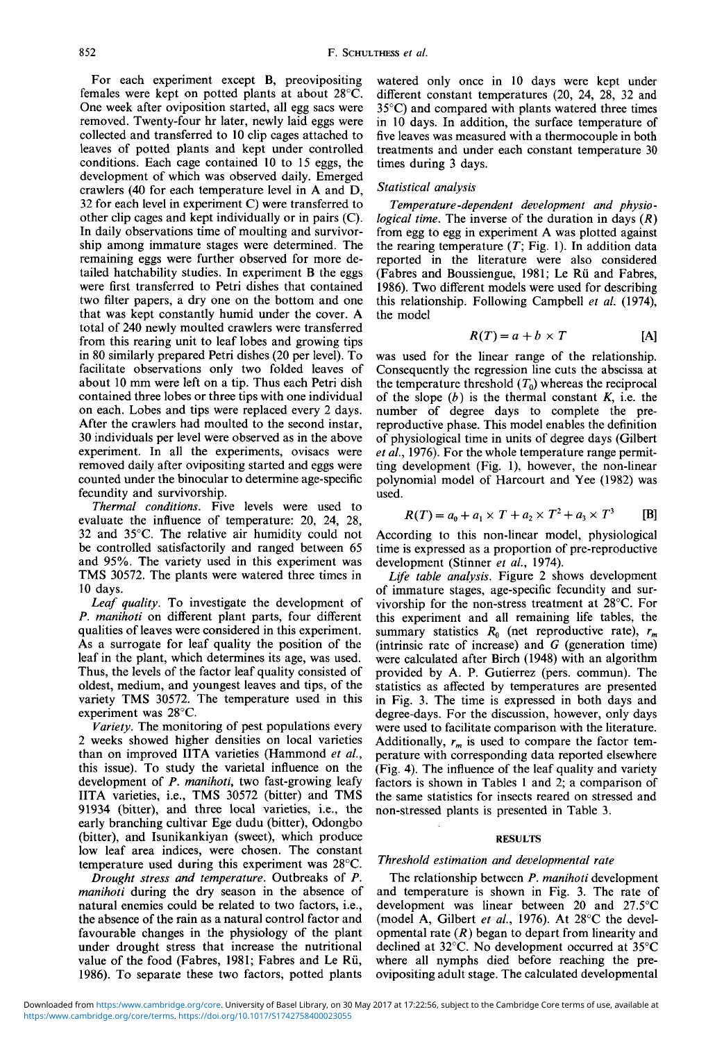For each experiment except B, preovipositing females were kept on potted plants at about 28°C. One week after oviposition started, all egg sacs were removed. Twenty-four hr later, newly laid eggs were collected and transferred to 10 clip cages attached to leaves of potted plants and kept under controlled conditions. Each cage contained 10 to 15 eggs, the development of which was observed daily. Emerged crawlers (40 for each temperature level in A and D, 32 for each level in experiment C) were transferred to other clip cages and kept individually or in pairs (C). In daily observations time of moulting and survivor- ship among immature stages were determined. The remaining eggs were further observed for more de- tailed hatchability studies. In experiment B the eggs were first transferred to Petri dishes that contained two filter papers, a dry one on the bottom and one that was kept constantly humid under the cover. A total of 240 newly moulted crawlers were transferred from this rearing unit to leaf lobes and growing tips in 80 similarly prepared Petri dishes (20 per level). To facilitate observations only two folded leaves of about 10 mm were left on a tip. Thus each Petri dish contained three lobes or three tips with one individual on each. Lobes and tips were replaced every 2 days. After the crawlers had moulted to the second instar, 30 individuals per level were observed as in the above experiment. In all the experiments, ovisacs were removed daily after ovipositing started and eggs were counted under the binocular to determine age-specific fecundity and survivorship.

*Thermal conditions.* Five levels were used to evaluate the influence of temperature: 20, 24, 28, 32 and 35°C. The relative air humidity could not be controlled satisfactorily and ranged between 65 and 95%. The variety used in this experiment was TMS 30572. The plants were watered three times in 10 days.

*Leaf quality.* To investigate the development of *P. manihoti* on different plant parts, four different qualities of leaves were considered in this experiment. As a surrogate for leaf quality the position of the leaf in the plant, which determines its age, was used. Thus, the levels of the factor leaf quality consisted of oldest, medium, and youngest leaves and tips, of the variety TMS 30572. The temperature used in this experiment was 28°C.

*Variety.* The monitoring of pest populations every 2 weeks showed higher densities on local varieties than on improved IITA varieties (Hammond *et al.,* this issue). To study the varietal influence on the development of *P. manihoti,* two fast-growing leafy IITA varieties, i.e., TMS 30572 (bitter) and TMS 91934 (bitter), and three local varieties, i.e., the early branching cultivar Ege dudu (bitter), Odongbo (bitter), and Isunikankiyan (sweet), which produce low leaf area indices, were chosen. The constant temperature used during this experiment was 28°C.

*Drought stress and temperature.* Outbreaks of *P. manihoti* during the dry season in the absence of natural enemies could be related to two factors, i.e., the absence of the rain as a natural control factor and favourable changes in the physiology of the plant under drought stress that increase the nutritional value of the food (Fabres, 1981; Fabres and Le Ru, 1986). To separate these two factors, potted plants

watered only once in 10 days were kept under different constant temperatures (20, 24, 28, 32 and 35°C) and compared with plants watered three times in 10 days. In addition, the surface temperature of five leaves was measured with a thermocouple in both treatments and under each constant temperature 30 times during 3 days.

#### *Statistical analysis*

*Temperature-dependent development and physiological time.* The inverse of the duration in days *(R)* from egg to egg in experiment A was plotted against the rearing temperature  $(T; Fig. 1)$ . In addition data reported in the literature were also considered (Fabres and Boussiengue, 1981; Le Rii and Fabres, 1986). Two different models were used for describing this relationship. Following Campbell *et al.* (1974), the model

$$
R(T) = a + b \times T
$$
 [A]

was used for the linear range of the relationship. Consequently the regression line cuts the abscissa at the temperature threshold  $(T_0)$  whereas the reciprocal of the slope *(b)* is the thermal constant *K,* i.e. the number of degree days to complete the pre- reproductive phase. This model enables the definition of physiological time in units of degree days (Gilbert *et al.*, 1976). For the whole temperature range permitting development (Fig. 1), however, the non-linear polynomial model of Harcourt and Yee (1982) was used.

$$
R(T) = a_0 + a_1 \times T + a_2 \times T^2 + a_3 \times T^3
$$
 [B]

According to this non-linear model, physiological time is expressed as a proportion of pre-reproductive development (Stinner *et al.,* 1974).

*Life table analysis.* Figure 2 shows development of immature stages, age-specific fecundity and sur- vivorship for the non-stress treatment at 28°C. For this experiment and all remaining life tables, the summary statistics  $R_0$  (net reproductive rate),  $r_m$ (intrinsic rate of increase) and *G* (generation time) were calculated after Birch (1948) with an algorithm provided by A. P. Gutierrez (pers. commun). The statistics as affected by temperatures are presented in Fig. 3. The time is expressed in both days and degree-days. For the discussion, however, only days were used to facilitate comparison with the literature. Additionally,  $r_m$  is used to compare the factor temperature with corresponding data reported elsewhere (Fig. 4). The influence of the leaf quality and variety factors is shown in Tables 1 and 2; a comparison of the same statistics for insects reared on stressed and non-stressed plants is presented in Table 3.

#### **RESULTS**

#### *Threshold estimation and developmental rate*

The relationship between *P. manihoti* development and temperature is shown in Fig. 3. The rate of development was linear between 20 and 27.5°C (model A, Gilbert *et al.,* 1976). At 28°C the devel- opmental rate *(R)* began to depart from linearity and declined at 32°C. No development occurred at 35°C where all nymphs died before reaching the pre-<br>ovipositing adult stage. The calculated developmental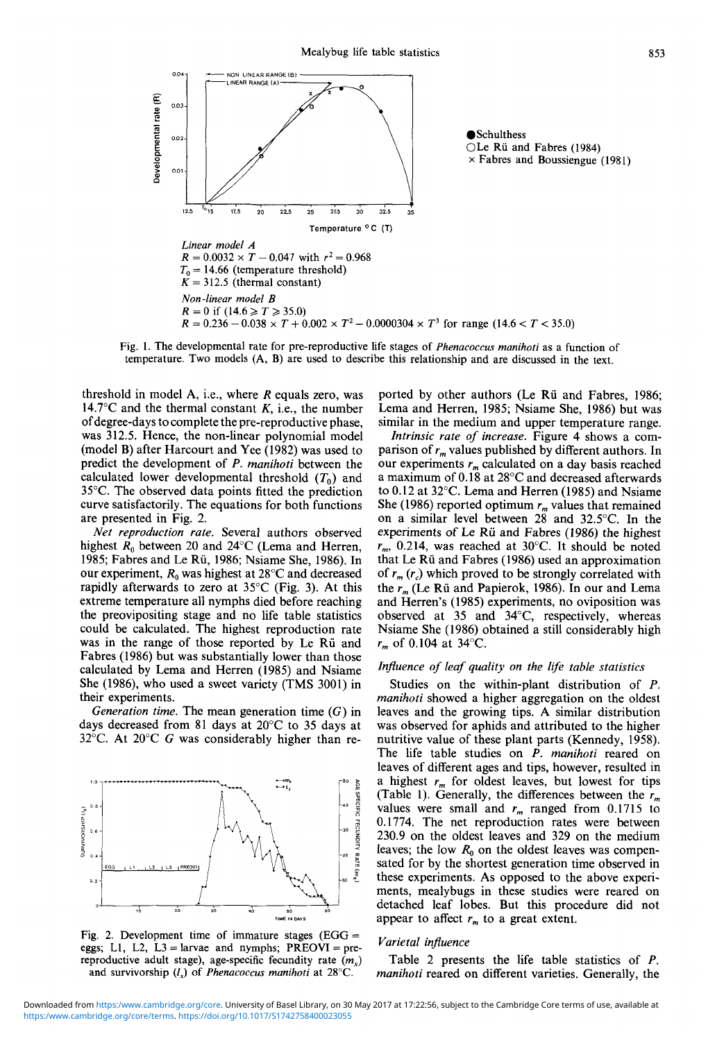

Fig. 1. The developmental rate for pre-reproductive life stages of *Phenacoccus manihoti* as a function of temperature. Two models (A, B) are used to describe this relationship and are discussed in the text.

threshold in model A, i.e., where *R* equals zero, was 14.7 $\mathrm{C}$  and the thermal constant *K*, i.e., the number of degree-days to complete the pre-reproductive phase, was 312.5. Hence, the non-linear polynomial model (model B) after Harcourt and Yee (1982) was used to predict the development of *P. manihoti* between the calculated lower developmental threshold  $(T_0)$  and 35°C. The observed data points fitted the prediction curve satisfactorily. The equations for both functions are presented in Fig. 2.

*Net reproduction rate.* Several authors observed highest  $R_0$  between 20 and 24°C (Lema and Herren, 1985; Fabres and Le Rü, 1986; Nsiame She, 1986). In our experiment, *Ro* was highest at 28°C and decreased rapidly afterwards to zero at 35°C (Fig. 3). At this extreme temperature all nymphs died before reaching the preovipositing stage and no life table statistics could be calculated. The highest reproduction rate was in the range of those reported by Le Rü and Fabres (1986) but was substantially lower than those calculated by Lema and Herren (1985) and Nsiame She (1986), who used a sweet variety (TMS 3001) in their experiments.

*Generation time.* The mean generation time (G) in days decreased from 81 days at 20°C to 35 days at 32°C. At 20°C *G* was considerably higher than re-



Fig. 2. Development time of immature stages  $(EGG =$ eggs; L1, L2, L3 = larvae and nymphs;  $PREOVI = pre$ reproductive adult stage), age-specific fecundity rate  $(m<sub>r</sub>)$ and survivorship *(lx)* of *Phenacoccus manihoti* at 28°C.

ported by other authors (Le Rii and Fabres, 1986; Lema and Herren, 1985; Nsiame She, 1986) but was

similar in the medium and upper temperature range.<br>*Intrinsic rate of increase*. Figure 4 shows a com-<br>parison of  $r_m$  values published by different authors. In our experiments  $r_m$  calculated on a day basis reached a maximum of 0.18 at 28°C and decreased afterwards to 0.12 at 32°C. Lema and Herren (1985) and Nsiame She (1986) reported optimum  $r_m$  values that remained on a similar level between 28 and 32.5°C. In the experiments of Le Rii and Fabres (1986) the highest *rm,* 0.214, was reached at 30°C. It should be noted that Le Rii and Fabres (1986) used an approximation of  $r_m(r_c)$  which proved to be strongly correlated with the *rm* (Le Rii and Papierok, 1986). In our and Lema and Herren's (1985) experiments, no oviposition was observed at 35 and 34°C, respectively, whereas Nsiame She (1986) obtained a still considerably high *rm* of 0.104 at 34°C.

#### *Influence of leaf quality on the life table statistics*

Studies on the within-plant distribution of *P. manihoti* showed a higher aggregation on the oldest leaves and the growing tips. A similar distribution was observed for aphids and attributed to the higher nutritive value of these plant parts (Kennedy, 1958). The life table studies on *P. manihoti* reared on leaves of different ages and tips, however, resulted in a highest  $r_m$  for oldest leaves, but lowest for tips (Table 1). Generally, the differences between the *rm* values were small and  $r_m$  ranged from 0.1715 to 0.1774. The net reproduction rates were between 230.9 on the oldest leaves and 329 on the medium leaves; the low  $R_0$  on the oldest leaves was compensated for by the shortest generation time observed in these experiments. As opposed to the above experi- ments, mealybugs in these studies were reared on detached leaf lobes. But this procedure did not appear to affect  $r_m$  to a great extent.

#### *Varietal influence*

Table 2 presents the life table statistics of *P. manihoti* reared on different varieties. Generally, the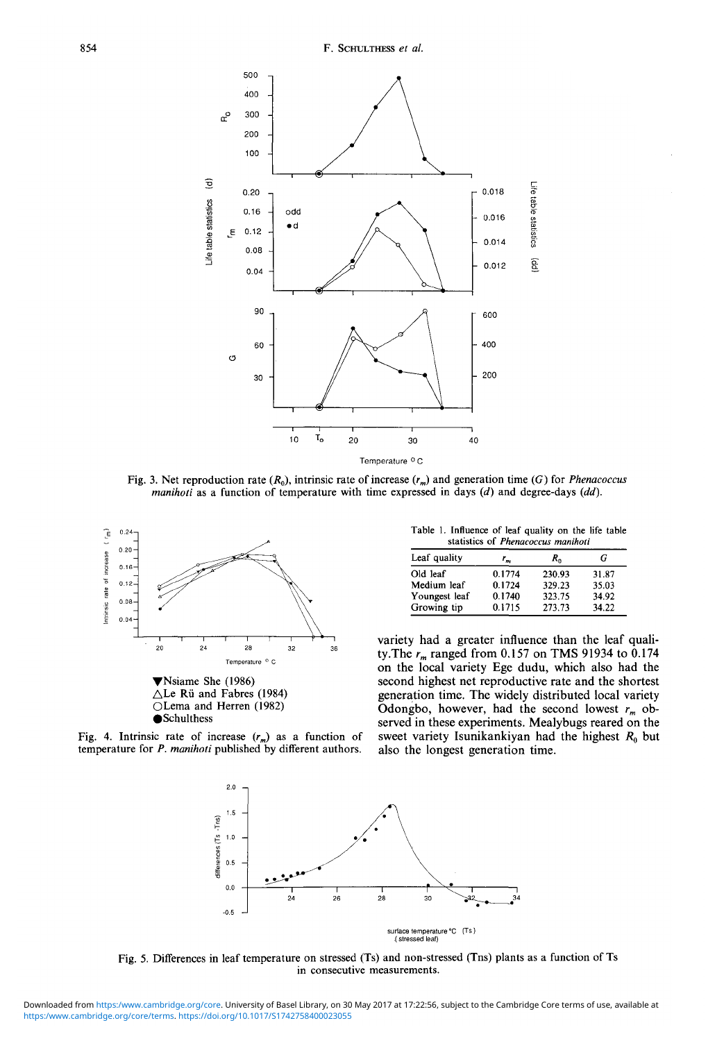

Fig. 3. Net reproduction rate  $(R_0)$ , intrinsic rate of increase  $(r_m)$  and generation time (G) for *Phenacoccus manihoti* as a function of temperature with time expressed in days *(d)* and degree-days *(dd).*



Fig. 4. Intrinsic rate of increase  $(r_m)$  as a function of temperature for *P. manihoti* published by different authors.

Table 1. Influence of leaf quality on the life table statistics of *Phenacoccus manihoti*

| Leaf quality  | $r_n$  | $R_{n}$ | G     |  |  |  |  |
|---------------|--------|---------|-------|--|--|--|--|
| Old leaf      | 0.1774 | 230.93  | 31.87 |  |  |  |  |
| Medium leaf   | 0.1724 | 329.23  | 35.03 |  |  |  |  |
| Youngest leaf | 0.1740 | 323.75  | 34.92 |  |  |  |  |
| Growing tip   | 0.1715 | 273.73  | 34.22 |  |  |  |  |

variety had a greater influence than the leaf quali-<br>ty.The  $r_m$  ranged from 0.157 on TMS 91934 to 0.174 on the local variety Ege dudu, which also had the second highest net reproductive rate and the shortest generation time. The widely distributed local variety Odongbo, however, had the second lowest  $r_m$  observed in these experiments. Mealybugs reared on the sweet variety Isunikankiyan had the highest *R^* but also the longest generation time.



Fig. 5. Differences in leaf temperature on stressed (Ts) and non-stressed (Tns) plants as a function of Ts in consecutive measurements.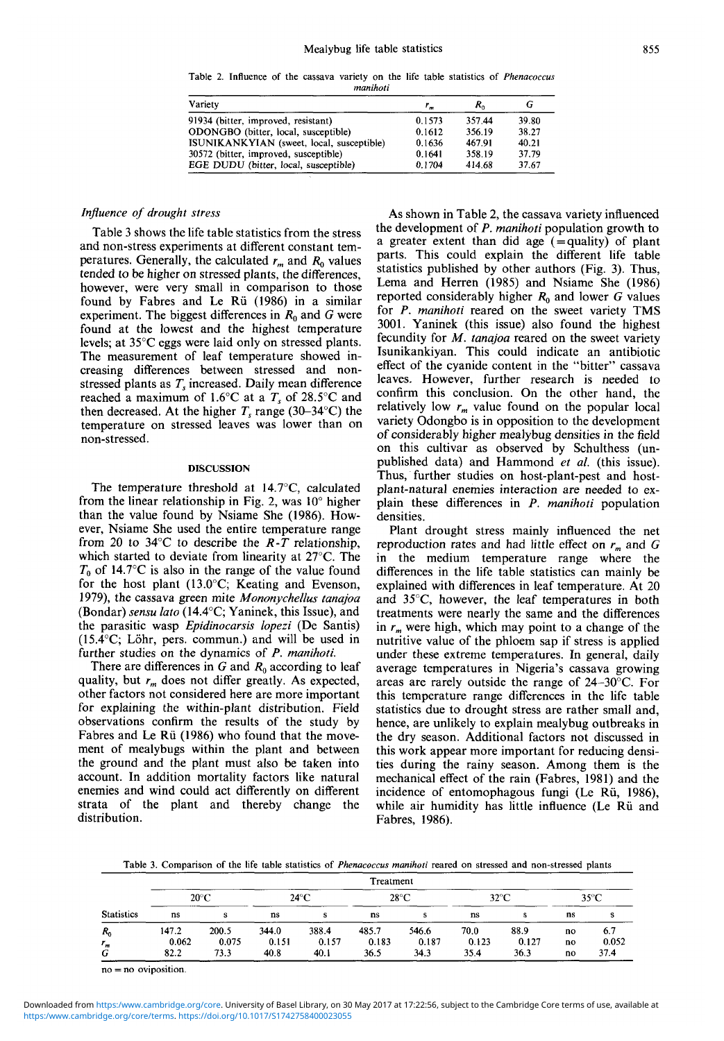Table 2. Influence of the cassava variety on the life table statistics of *Phenacoccus manihoti*

| Variety                                   | r <sub>m</sub> | $R_{0}$ |       |  |
|-------------------------------------------|----------------|---------|-------|--|
| 91934 (bitter, improved, resistant)       | 0.1573         | 357.44  | 39.80 |  |
| ODONGBO (bitter, local, susceptible)      | 0.1612         | 356.19  | 38.27 |  |
| ISUNIKANKYIAN (sweet, local, susceptible) | 0.1636         | 467.91  | 40.21 |  |
| 30572 (bitter, improved, susceptible)     | 0.1641         | 358.19  | 37.79 |  |
| EGE DUDU (bitter, local, susceptible)     | 0.1704         | 414.68  | 37.67 |  |

### *Influence of drought stress*

Table 3 shows the life table statistics from the stress and non-stress experiments at different constant tem-<br>peratures. Generally, the calculated  $r_m$  and  $R_0$  values tended to be higher on stressed plants, the differences, however, were very small in comparison to those found by Fabres and Le Rii (1986) in a similar experiment. The biggest differences in  $R_0$  and G were found at the lowest and the highest temperature levels; at 35°C eggs were laid only on stressed plants.<br>The measurement of leaf temperature showed in-<br>creasing differences between stressed and non-<br>stressed plants as  $T_s$  increased. Daily mean difference reached a maximum of 1.6 $\rm ^{\circ}C$  at a  $T_s$  of 28.5 $\rm ^{\circ}C$  and then decreased. At the higher  $T_s$  range (30–34°C) the temperature on stressed leaves was lower than on non-stressed.

#### **DISCUSSION**

The temperature threshold at 14.7°C, calculated from the linear relationship in Fig. 2, was  $10^{\circ}$  higher than the value found by Nsiame She (1986). How- ever, Nsiame She used the entire temperature range from 20 to 34°C to describe the *R-T* relationship, which started to deviate from linearity at 27°C. The  $T_0$  of 14.7°C is also in the range of the value found for the host plant (13.0°C; Keating and Evenson, 1979), the cassava green mite *Mononychellus tanajoa* (Bondar) *sensu lato* (14.4°C; Yaninek, this Issue), and the parasitic wasp *Epidinocarsis lopezi* (De Santis)  $(15.4^{\circ}C;$  Löhr, pers. commun.) and will be used in further studies on the dynamics of *P. manihoti.*

There are differences in *G* and *R*<sub>0</sub> according to leaf quality, but *r*<sub>*m*</sub> does not differ greatly. As expected, other factors not considered here are more important for explaining the within-plant distribution. Field observations confirm the results of the study by Fabres and Le Rü (1986) who found that the move-<br>ment of mealybugs within the plant and between the ground and the plant must also be taken into account. In addition mortality factors like natural enemies and wind could act differently on different strata of the plant and thereby change the distribution.

As shown in Table 2, the cassava variety influenced the development of *P. manihoti* population growth to a greater extent than did age  $($  = quality) of plant parts. This could explain the different life table statistics published by other authors (Fig. 3). Thus, Lema and Herren (1985) and Nsiame She (1986). reported considerably higher *R^* and lower *G* values for *P. manihoti* reared on the sweet variety TMS 3001. Yaninek (this issue) also found the highest fecundity for *M. tanajoa* reared on the sweet variety Isunikankiyan. This could indicate an antibiotic effect of the cyanide content in the "bitter" cassava leaves. However, further research is needed to confirm this conclusion. On the other hand, the relatively low  $r_m$  value found on the popular local variety Odongbo is in opposition to the development of considerably higher mealybug densities in the field on this cultivar as observed by Schulthess (un-<br>published data) and Hammond *et al.* (this issue).<br>Thus, further studies on host-plant-pest and host-<br>plant-natural enemies interaction are needed to ex-<br>plain these differe densities.

Plant drought stress mainly influenced the net reproduction rates and had little effect on  $r_m$  and G in the medium temperature range where the differences in the life table statistics can mainly be explained with differences in leaf temperature. At 20 and 35°C, however, the leaf temperatures in both treatments were nearly the same and the differences in *rm* were high, which may point to a change of the nutritive value of the phloem sap if stress is applied under these extreme temperatures. In general, daily average temperatures in Nigeria's cassava growing areas are rarely outside the range of 24-30°C. For this temperature range differences in the life table statistics due to drought stress are rather small and, hence, are unlikely to explain mealybug outbreaks in the dry season. Additional factors not discussed in this work appear more important for reducing densi- ties during the rainy season. Among them is the mechanical effect of the rain (Fabres, 1981) and the incidence of entomophagous fungi (Le Rii, 1986), while air humidity has little influence (Le Rii and Fabres, 1986).

Table 3. Comparison of the life table statistics of *Phenacoccus manihoti* reared on stressed and non-stressed plants

| <b>Statistics</b> |                | Treatment      |                |                |                |                |                |               |          |              |
|-------------------|----------------|----------------|----------------|----------------|----------------|----------------|----------------|---------------|----------|--------------|
|                   | $20^{\circ}$ C |                | $24^{\circ}$ C |                | $28^{\circ}$ C |                | $32^{\circ}$ C |               | 35°C     |              |
|                   | ns             |                | ns             |                | ns             |                | ns             |               | ns       |              |
| $R_0$             | 147.2<br>0.062 | 200.5<br>0.075 | 344.0<br>0.151 | 388.4<br>0.157 | 485.7<br>0.183 | 546.6<br>0.187 | 70.0<br>0.123  | 88.9<br>0.127 | no       | 6.7<br>0.052 |
| $r_m$<br>G        | 82.2           | 73.3           | 40.8           | 40.1           | 36.5           | 34.3           | 35.4           | 36.3          | no<br>no | 37.4         |

 $no = no$  oviposition.